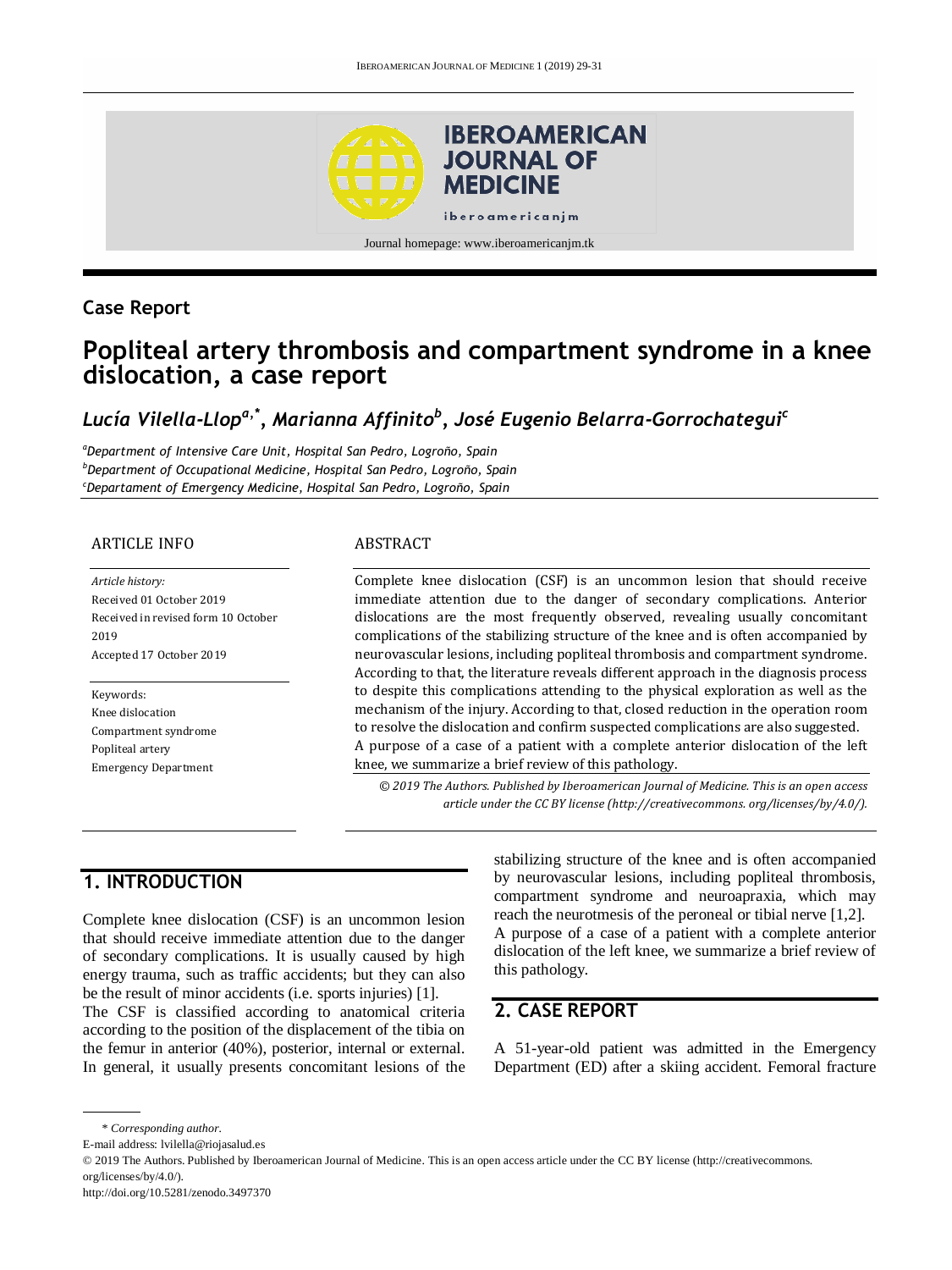

### **Case Report**

# **Popliteal artery thrombosis and compartment syndrome in a knee dislocation, a case report**

## *Lucía Vilella-Llopa,\* , Marianna Affinito<sup>b</sup> , José Eugenio Belarra-Gorrochategui<sup>c</sup>*

*<sup>a</sup>Department of Intensive Care Unit, Hospital San Pedro, Logroño, Spain <sup>b</sup>Department of Occupational Medicine, Hospital San Pedro, Logroño, Spain <sup>c</sup>Departament of Emergency Medicine, Hospital San Pedro, Logroño, Spain*

#### ARTICLE INFO

*Article history:* Received 01 October 2019 Received in revised form 10 October 2019 Accepted 17 October 2019

Keywords: Knee dislocation Compartment syndrome Popliteal artery Emergency Department

#### ABSTRACT

Complete knee dislocation (CSF) is an uncommon lesion that should receive immediate attention due to the danger of secondary complications. Anterior dislocations are the most frequently observed, revealing usually concomitant complications of the stabilizing structure of the knee and is often accompanied by neurovascular lesions, including popliteal thrombosis and compartment syndrome. According to that, the literature reveals different approach in the diagnosis process to despite this complications attending to the physical exploration as well as the mechanism of the injury. According to that, closed reduction in the operation room to resolve the dislocation and confirm suspected complications are also suggested. A purpose of a case of a patient with a complete anterior dislocation of the left knee, we summarize a brief review of this pathology.

*© 2019 The Authors. Published by Iberoamerican Journal of Medicine. This is an open access article under the CC BY license (http:/[/creativecommons. org/licenses/by/4.0/\)](https://creativecommons.org/licenses/by/4.0/).*

### **1. INTRODUCTION**

Complete knee dislocation (CSF) is an uncommon lesion that should receive immediate attention due to the danger of secondary complications. It is usually caused by high energy trauma, such as traffic accidents; but they can also be the result of minor accidents (i.e. sports injuries) [1].

The CSF is classified according to anatomical criteria according to the position of the displacement of the tibia on the femur in anterior (40%), posterior, internal or external. In general, it usually presents concomitant lesions of the stabilizing structure of the knee and is often accompanied by neurovascular lesions, including popliteal thrombosis, compartment syndrome and neuroapraxia, which may reach the neurotmesis of the peroneal or tibial nerve [1,2]. A purpose of a case of a patient with a complete anterior dislocation of the left knee, we summarize a brief review of this pathology.

### **2. CASE REPORT**

A 51-year-old patient was admitted in the Emergency Department (ED) after a skiing accident. Femoral fracture

<sup>\*</sup> *Corresponding author.*

E-mail address: lvilella@riojasalud.es

<sup>© 2019</sup> The Authors. Published by Iberoamerican Journal of Medicine. This is an open access article under the CC BY license (http://creativecommons. org/licenses/by/4.0/).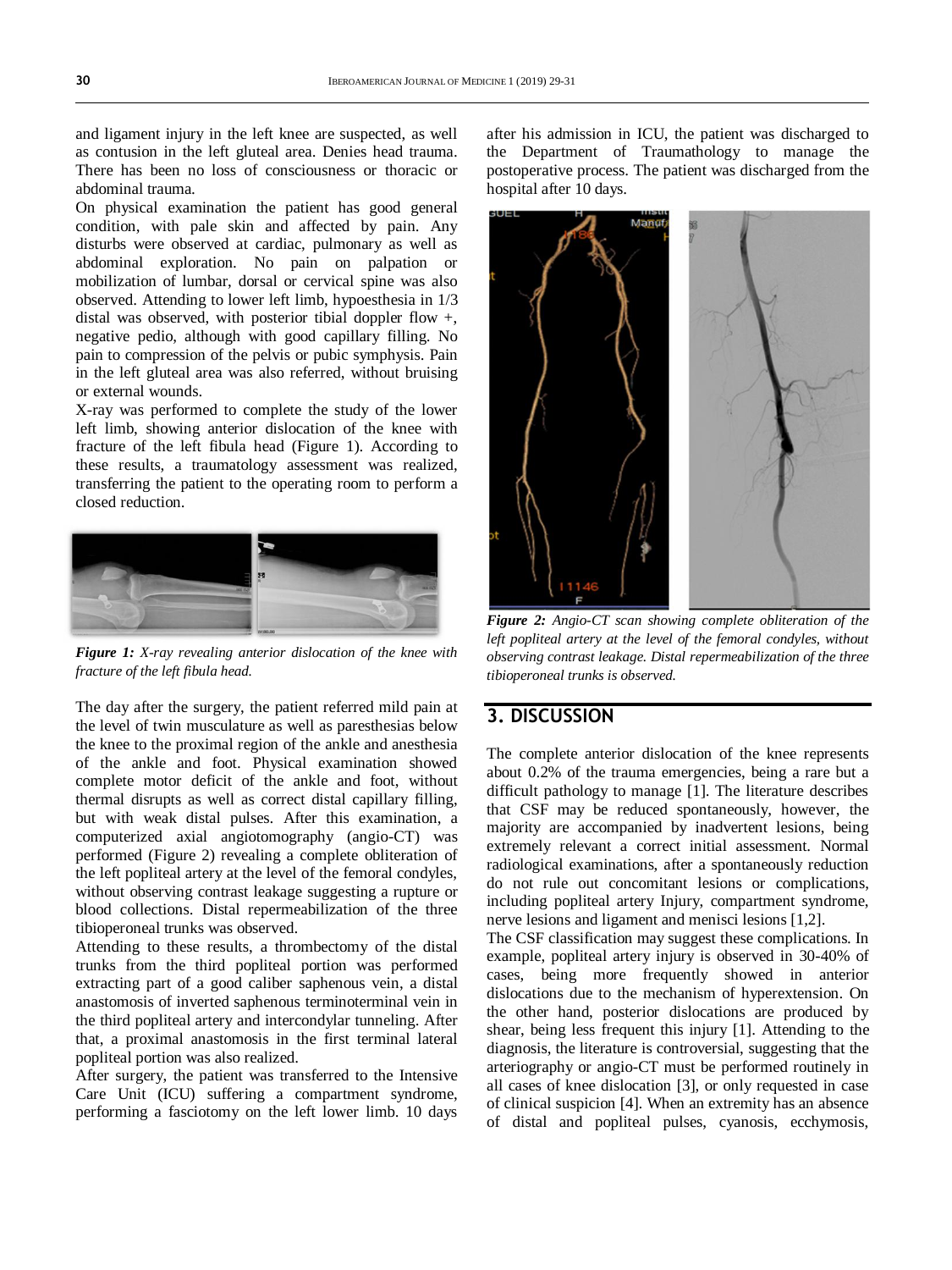and ligament injury in the left knee are suspected, as well as contusion in the left gluteal area. Denies head trauma. There has been no loss of consciousness or thoracic or abdominal trauma.

On physical examination the patient has good general condition, with pale skin and affected by pain. Any disturbs were observed at cardiac, pulmonary as well as abdominal exploration. No pain on palpation or mobilization of lumbar, dorsal or cervical spine was also observed. Attending to lower left limb, hypoesthesia in 1/3 distal was observed, with posterior tibial doppler flow +, negative pedio, although with good capillary filling. No pain to compression of the pelvis or pubic symphysis. Pain in the left gluteal area was also referred, without bruising or external wounds.

X-ray was performed to complete the study of the lower left limb, showing anterior dislocation of the knee with fracture of the left fibula head (Figure 1). According to these results, a traumatology assessment was realized, transferring the patient to the operating room to perform a closed reduction.



*Figure 1: X-ray revealing anterior dislocation of the knee with fracture of the left fibula head.*

The day after the surgery, the patient referred mild pain at the level of twin musculature as well as paresthesias below the knee to the proximal region of the ankle and anesthesia of the ankle and foot. Physical examination showed complete motor deficit of the ankle and foot, without thermal disrupts as well as correct distal capillary filling, but with weak distal pulses. After this examination, a computerized axial angiotomography (angio-CT) was performed (Figure 2) revealing a complete obliteration of the left popliteal artery at the level of the femoral condyles, without observing contrast leakage suggesting a rupture or blood collections. Distal repermeabilization of the three tibioperoneal trunks was observed.

Attending to these results, a thrombectomy of the distal trunks from the third popliteal portion was performed extracting part of a good caliber saphenous vein, a distal anastomosis of inverted saphenous terminoterminal vein in the third popliteal artery and intercondylar tunneling. After that, a proximal anastomosis in the first terminal lateral popliteal portion was also realized.

After surgery, the patient was transferred to the Intensive Care Unit (ICU) suffering a compartment syndrome, performing a fasciotomy on the left lower limb. 10 days

after his admission in ICU, the patient was discharged to the Department of Traumathology to manage the postoperative process. The patient was discharged from the hospital after 10 days.



*Figure 2: Angio-CT scan showing complete obliteration of the left popliteal artery at the level of the femoral condyles, without observing contrast leakage. Distal repermeabilization of the three tibioperoneal trunks is observed.*

### **3. DISCUSSION**

The complete anterior dislocation of the knee represents about 0.2% of the trauma emergencies, being a rare but a difficult pathology to manage [1]. The literature describes that CSF may be reduced spontaneously, however, the majority are accompanied by inadvertent lesions, being extremely relevant a correct initial assessment. Normal radiological examinations, after a spontaneously reduction do not rule out concomitant lesions or complications, including popliteal artery Injury, compartment syndrome, nerve lesions and ligament and menisci lesions [1,2].

The CSF classification may suggest these complications. In example, popliteal artery injury is observed in 30-40% of cases, being more frequently showed in anterior dislocations due to the mechanism of hyperextension. On the other hand, posterior dislocations are produced by shear, being less frequent this injury [1]. Attending to the diagnosis, the literature is controversial, suggesting that the arteriography or angio-CT must be performed routinely in all cases of knee dislocation [3], or only requested in case of clinical suspicion [4]. When an extremity has an absence of distal and popliteal pulses, cyanosis, ecchymosis,